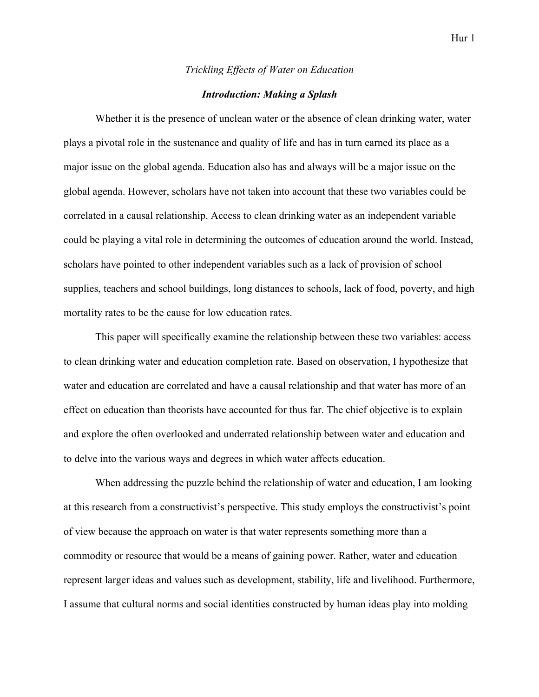## *Trickling Effects of Water on Education*

## *Introduction: Making a Splash*

Whether it is the presence of unclean water or the absence of clean drinking water, water plays a pivotal role in the sustenance and quality of life and has in turn earned its place as a major issue on the global agenda. Education also has and always will be a major issue on the global agenda. However, scholars have not taken into account that these two variables could be correlated in a causal relationship. Access to clean drinking water as an independent variable could be playing a vital role in determining the outcomes of education around the world. Instead, scholars have pointed to other independent variables such as a lack of provision of school supplies, teachers and school buildings, long distances to schools, lack of food, poverty, and high mortality rates to be the cause for low education rates.

This paper will specifically examine the relationship between these two variables: access to clean drinking water and education completion rate. Based on observation, I hypothesize that water and education are correlated and have a causal relationship and that water has more of an effect on education than theorists have accounted for thus far. The chief objective is to explain and explore the often overlooked and underrated relationship between water and education and to delve into the various ways and degrees in which water affects education.

When addressing the puzzle behind the relationship of water and education, I am looking at this research from a constructivist's perspective. This study employs the constructivist's point of view because the approach on water is that water represents something more than a commodity or resource that would be a means of gaining power. Rather, water and education represent larger ideas and values such as development, stability, life and livelihood. Furthermore, I assume that cultural norms and social identities constructed by human ideas play into molding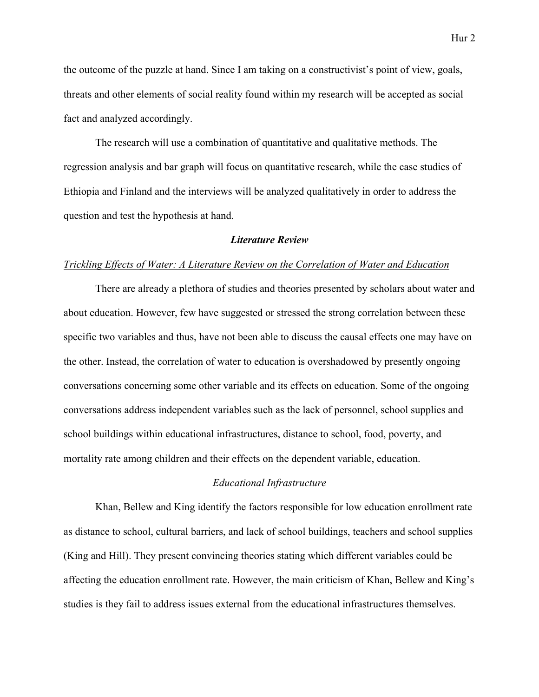the outcome of the puzzle at hand. Since I am taking on a constructivist's point of view, goals, threats and other elements of social reality found within my research will be accepted as social fact and analyzed accordingly.

The research will use a combination of quantitative and qualitative methods. The regression analysis and bar graph will focus on quantitative research, while the case studies of Ethiopia and Finland and the interviews will be analyzed qualitatively in order to address the question and test the hypothesis at hand.

### *Literature Review*

### *Trickling Effects of Water: A Literature Review on the Correlation of Water and Education*

There are already a plethora of studies and theories presented by scholars about water and about education. However, few have suggested or stressed the strong correlation between these specific two variables and thus, have not been able to discuss the causal effects one may have on the other. Instead, the correlation of water to education is overshadowed by presently ongoing conversations concerning some other variable and its effects on education. Some of the ongoing conversations address independent variables such as the lack of personnel, school supplies and school buildings within educational infrastructures, distance to school, food, poverty, and mortality rate among children and their effects on the dependent variable, education.

## *Educational Infrastructure*

Khan, Bellew and King identify the factors responsible for low education enrollment rate as distance to school, cultural barriers, and lack of school buildings, teachers and school supplies (King and Hill). They present convincing theories stating which different variables could be affecting the education enrollment rate. However, the main criticism of Khan, Bellew and King's studies is they fail to address issues external from the educational infrastructures themselves.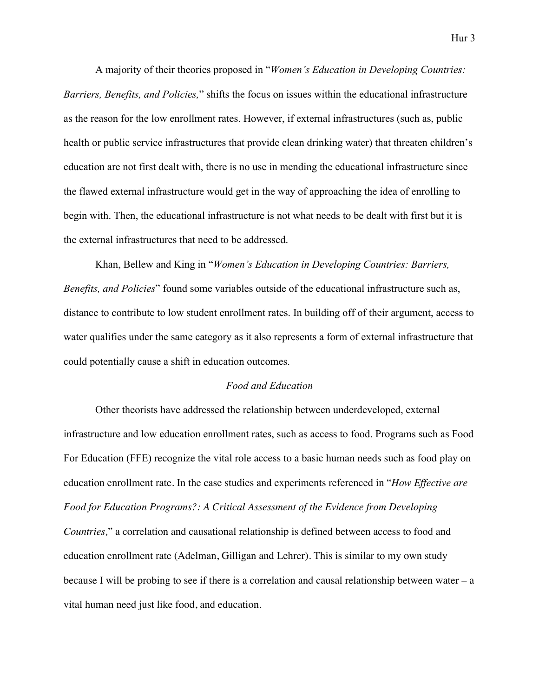A majority of their theories proposed in "*Women's Education in Developing Countries: Barriers, Benefits, and Policies,*" shifts the focus on issues within the educational infrastructure as the reason for the low enrollment rates. However, if external infrastructures (such as, public health or public service infrastructures that provide clean drinking water) that threaten children's education are not first dealt with, there is no use in mending the educational infrastructure since the flawed external infrastructure would get in the way of approaching the idea of enrolling to begin with. Then, the educational infrastructure is not what needs to be dealt with first but it is the external infrastructures that need to be addressed.

Khan, Bellew and King in "*Women's Education in Developing Countries: Barriers, Benefits, and Policies*" found some variables outside of the educational infrastructure such as, distance to contribute to low student enrollment rates. In building off of their argument, access to water qualifies under the same category as it also represents a form of external infrastructure that could potentially cause a shift in education outcomes.

## *Food and Education*

Other theorists have addressed the relationship between underdeveloped, external infrastructure and low education enrollment rates, such as access to food. Programs such as Food For Education (FFE) recognize the vital role access to a basic human needs such as food play on education enrollment rate. In the case studies and experiments referenced in "*How Effective are Food for Education Programs?: A Critical Assessment of the Evidence from Developing Countries,*" a correlation and causational relationship is defined between access to food and education enrollment rate (Adelman, Gilligan and Lehrer). This is similar to my own study because I will be probing to see if there is a correlation and causal relationship between water – a vital human need just like food, and education.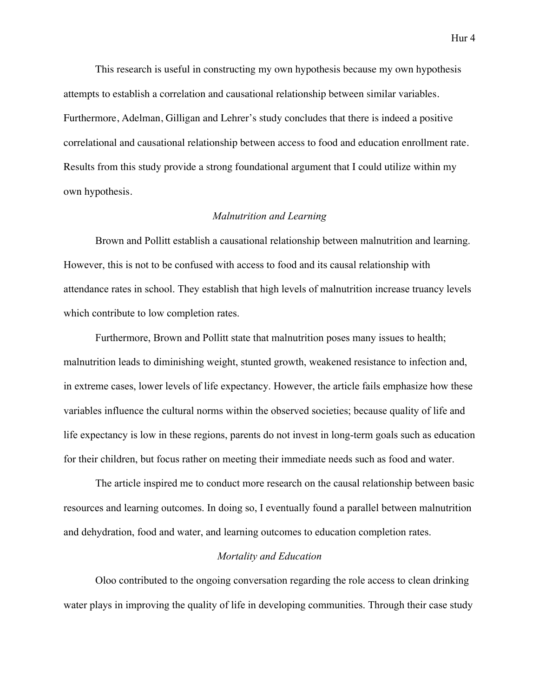This research is useful in constructing my own hypothesis because my own hypothesis attempts to establish a correlation and causational relationship between similar variables. Furthermore, Adelman, Gilligan and Lehrer's study concludes that there is indeed a positive correlational and causational relationship between access to food and education enrollment rate. Results from this study provide a strong foundational argument that I could utilize within my own hypothesis.

### *Malnutrition and Learning*

Brown and Pollitt establish a causational relationship between malnutrition and learning. However, this is not to be confused with access to food and its causal relationship with attendance rates in school. They establish that high levels of malnutrition increase truancy levels which contribute to low completion rates.

Furthermore, Brown and Pollitt state that malnutrition poses many issues to health; malnutrition leads to diminishing weight, stunted growth, weakened resistance to infection and, in extreme cases, lower levels of life expectancy. However, the article fails emphasize how these variables influence the cultural norms within the observed societies; because quality of life and life expectancy is low in these regions, parents do not invest in long-term goals such as education for their children, but focus rather on meeting their immediate needs such as food and water.

The article inspired me to conduct more research on the causal relationship between basic resources and learning outcomes. In doing so, I eventually found a parallel between malnutrition and dehydration, food and water, and learning outcomes to education completion rates.

## *Mortality and Education*

Oloo contributed to the ongoing conversation regarding the role access to clean drinking water plays in improving the quality of life in developing communities. Through their case study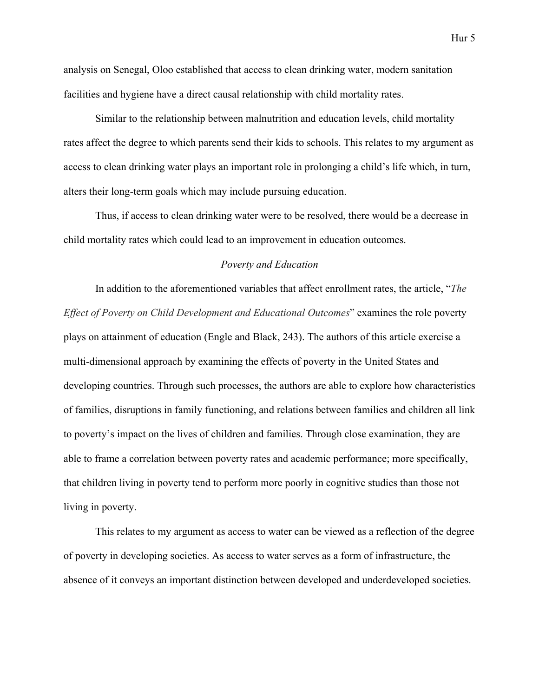analysis on Senegal, Oloo established that access to clean drinking water, modern sanitation facilities and hygiene have a direct causal relationship with child mortality rates.

Similar to the relationship between malnutrition and education levels, child mortality rates affect the degree to which parents send their kids to schools. This relates to my argument as access to clean drinking water plays an important role in prolonging a child's life which, in turn, alters their long-term goals which may include pursuing education.

Thus, if access to clean drinking water were to be resolved, there would be a decrease in child mortality rates which could lead to an improvement in education outcomes.

## *Poverty and Education*

In addition to the aforementioned variables that affect enrollment rates, the article, "*The Effect of Poverty on Child Development and Educational Outcomes*" examines the role poverty plays on attainment of education (Engle and Black, 243). The authors of this article exercise a multi-dimensional approach by examining the effects of poverty in the United States and developing countries. Through such processes, the authors are able to explore how characteristics of families, disruptions in family functioning, and relations between families and children all link to poverty's impact on the lives of children and families. Through close examination, they are able to frame a correlation between poverty rates and academic performance; more specifically, that children living in poverty tend to perform more poorly in cognitive studies than those not living in poverty.

This relates to my argument as access to water can be viewed as a reflection of the degree of poverty in developing societies. As access to water serves as a form of infrastructure, the absence of it conveys an important distinction between developed and underdeveloped societies.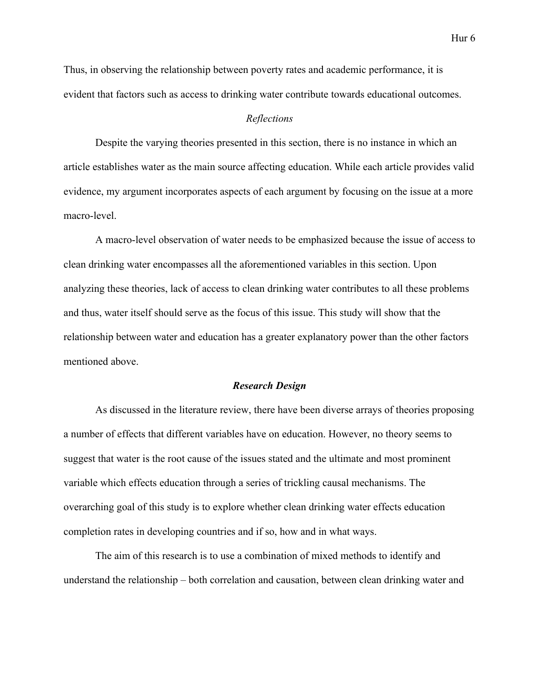Thus, in observing the relationship between poverty rates and academic performance, it is evident that factors such as access to drinking water contribute towards educational outcomes.

## *Reflections*

Despite the varying theories presented in this section, there is no instance in which an article establishes water as the main source affecting education. While each article provides valid evidence, my argument incorporates aspects of each argument by focusing on the issue at a more macro-level.

A macro-level observation of water needs to be emphasized because the issue of access to clean drinking water encompasses all the aforementioned variables in this section. Upon analyzing these theories, lack of access to clean drinking water contributes to all these problems and thus, water itself should serve as the focus of this issue. This study will show that the relationship between water and education has a greater explanatory power than the other factors mentioned above.

### *Research Design*

As discussed in the literature review, there have been diverse arrays of theories proposing a number of effects that different variables have on education. However, no theory seems to suggest that water is the root cause of the issues stated and the ultimate and most prominent variable which effects education through a series of trickling causal mechanisms. The overarching goal of this study is to explore whether clean drinking water effects education completion rates in developing countries and if so, how and in what ways.

The aim of this research is to use a combination of mixed methods to identify and understand the relationship – both correlation and causation, between clean drinking water and

Hur 6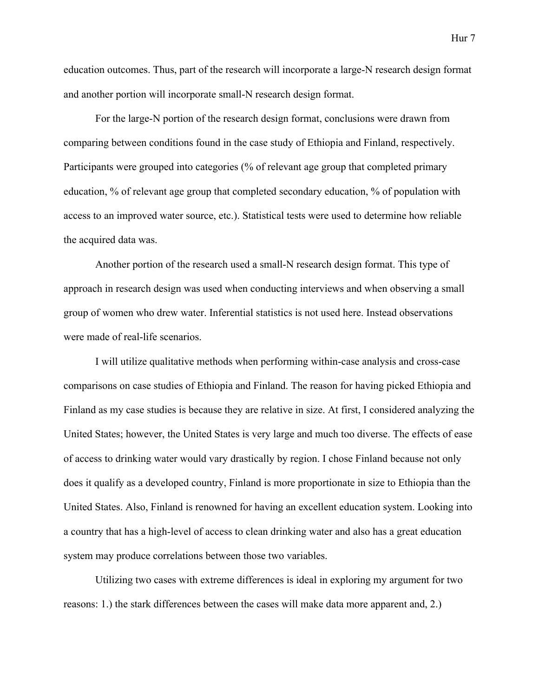education outcomes. Thus, part of the research will incorporate a large-N research design format and another portion will incorporate small-N research design format.

For the large-N portion of the research design format, conclusions were drawn from comparing between conditions found in the case study of Ethiopia and Finland, respectively. Participants were grouped into categories (% of relevant age group that completed primary education, % of relevant age group that completed secondary education, % of population with access to an improved water source, etc.). Statistical tests were used to determine how reliable the acquired data was.

Another portion of the research used a small-N research design format. This type of approach in research design was used when conducting interviews and when observing a small group of women who drew water. Inferential statistics is not used here. Instead observations were made of real-life scenarios.

I will utilize qualitative methods when performing within-case analysis and cross-case comparisons on case studies of Ethiopia and Finland. The reason for having picked Ethiopia and Finland as my case studies is because they are relative in size. At first, I considered analyzing the United States; however, the United States is very large and much too diverse. The effects of ease of access to drinking water would vary drastically by region. I chose Finland because not only does it qualify as a developed country, Finland is more proportionate in size to Ethiopia than the United States. Also, Finland is renowned for having an excellent education system. Looking into a country that has a high-level of access to clean drinking water and also has a great education system may produce correlations between those two variables.

Utilizing two cases with extreme differences is ideal in exploring my argument for two reasons: 1.) the stark differences between the cases will make data more apparent and, 2.)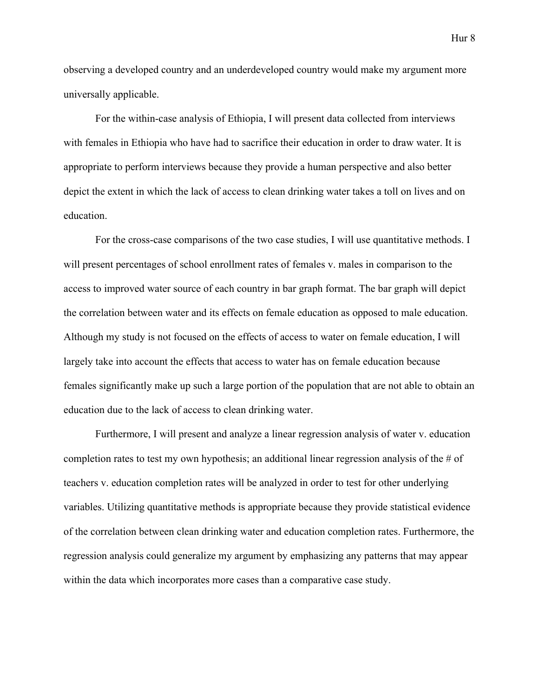observing a developed country and an underdeveloped country would make my argument more universally applicable.

For the within-case analysis of Ethiopia, I will present data collected from interviews with females in Ethiopia who have had to sacrifice their education in order to draw water. It is appropriate to perform interviews because they provide a human perspective and also better depict the extent in which the lack of access to clean drinking water takes a toll on lives and on education.

For the cross-case comparisons of the two case studies, I will use quantitative methods. I will present percentages of school enrollment rates of females v. males in comparison to the access to improved water source of each country in bar graph format. The bar graph will depict the correlation between water and its effects on female education as opposed to male education. Although my study is not focused on the effects of access to water on female education, I will largely take into account the effects that access to water has on female education because females significantly make up such a large portion of the population that are not able to obtain an education due to the lack of access to clean drinking water.

Furthermore, I will present and analyze a linear regression analysis of water v. education completion rates to test my own hypothesis; an additional linear regression analysis of the # of teachers v. education completion rates will be analyzed in order to test for other underlying variables. Utilizing quantitative methods is appropriate because they provide statistical evidence of the correlation between clean drinking water and education completion rates. Furthermore, the regression analysis could generalize my argument by emphasizing any patterns that may appear within the data which incorporates more cases than a comparative case study.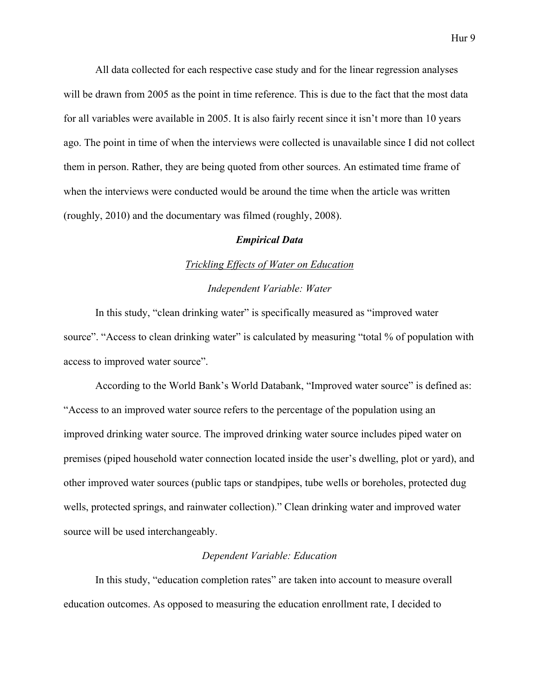All data collected for each respective case study and for the linear regression analyses will be drawn from 2005 as the point in time reference. This is due to the fact that the most data for all variables were available in 2005. It is also fairly recent since it isn't more than 10 years ago. The point in time of when the interviews were collected is unavailable since I did not collect them in person. Rather, they are being quoted from other sources. An estimated time frame of when the interviews were conducted would be around the time when the article was written (roughly, 2010) and the documentary was filmed (roughly, 2008).

### *Empirical Data*

### *Trickling Effects of Water on Education*

## *Independent Variable: Water*

In this study, "clean drinking water" is specifically measured as "improved water source". "Access to clean drinking water" is calculated by measuring "total % of population with access to improved water source".

According to the World Bank's World Databank, "Improved water source" is defined as: "Access to an improved water source refers to the percentage of the population using an improved drinking water source. The improved drinking water source includes piped water on premises (piped household water connection located inside the user's dwelling, plot or yard), and other improved water sources (public taps or standpipes, tube wells or boreholes, protected dug wells, protected springs, and rainwater collection)." Clean drinking water and improved water source will be used interchangeably.

## *Dependent Variable: Education*

In this study, "education completion rates" are taken into account to measure overall education outcomes. As opposed to measuring the education enrollment rate, I decided to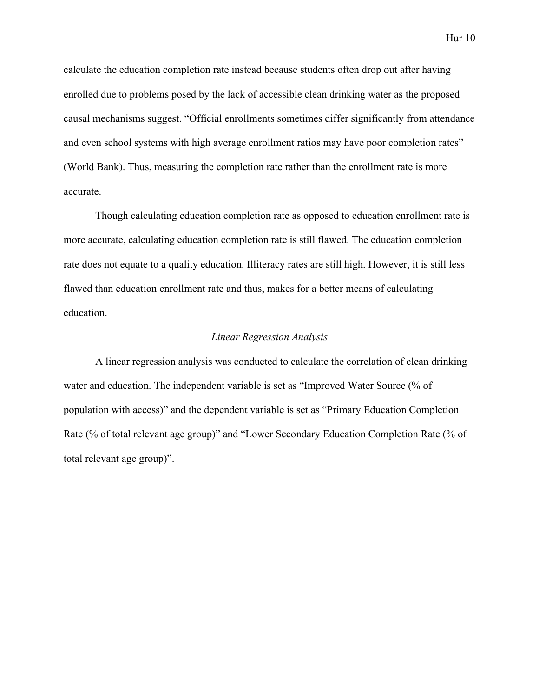calculate the education completion rate instead because students often drop out after having enrolled due to problems posed by the lack of accessible clean drinking water as the proposed causal mechanisms suggest. "Official enrollments sometimes differ significantly from attendance and even school systems with high average enrollment ratios may have poor completion rates" (World Bank). Thus, measuring the completion rate rather than the enrollment rate is more accurate.

Though calculating education completion rate as opposed to education enrollment rate is more accurate, calculating education completion rate is still flawed. The education completion rate does not equate to a quality education. Illiteracy rates are still high. However, it is still less flawed than education enrollment rate and thus, makes for a better means of calculating education.

## *Linear Regression Analysis*

A linear regression analysis was conducted to calculate the correlation of clean drinking water and education. The independent variable is set as "Improved Water Source (% of population with access)" and the dependent variable is set as "Primary Education Completion Rate (% of total relevant age group)" and "Lower Secondary Education Completion Rate (% of total relevant age group)".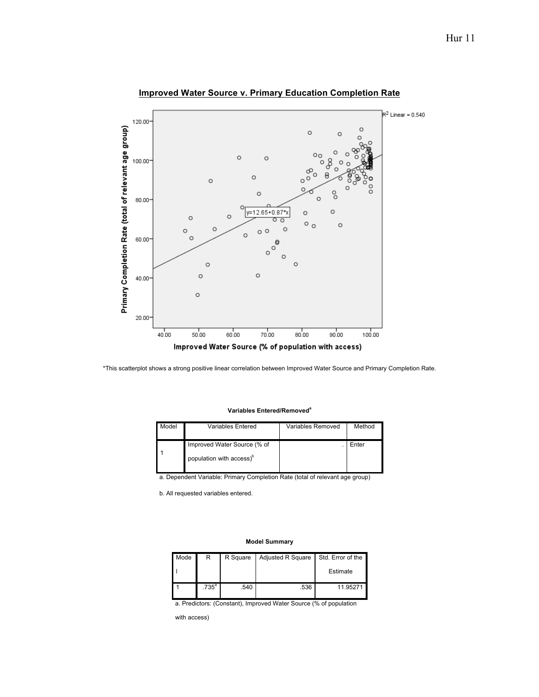

## **Improved Water Source v. Primary Education Completion Rate**

\*This scatterplot shows a strong positive linear correlation between Improved Water Source and Primary Completion Rate.

#### **Variables Entered/Removed<sup>a</sup>**

| Model | Variables Entered                                                   | Variables Removed | Method |
|-------|---------------------------------------------------------------------|-------------------|--------|
|       | Improved Water Source (% of<br>population with access) <sup>o</sup> |                   | Enter  |

a. Dependent Variable: Primary Completion Rate (total of relevant age group)

b. All requested variables entered.

#### **Model Summary**

| Mode | R                   | R Square | <b>Adjusted R Square</b> | Std. Error of the |
|------|---------------------|----------|--------------------------|-------------------|
|      |                     |          |                          | Estimate          |
|      | $.735$ <sup>a</sup> | .540     | .536                     | 11.95271          |

a. Predictors: (Constant), Improved Water Source (% of population

with access)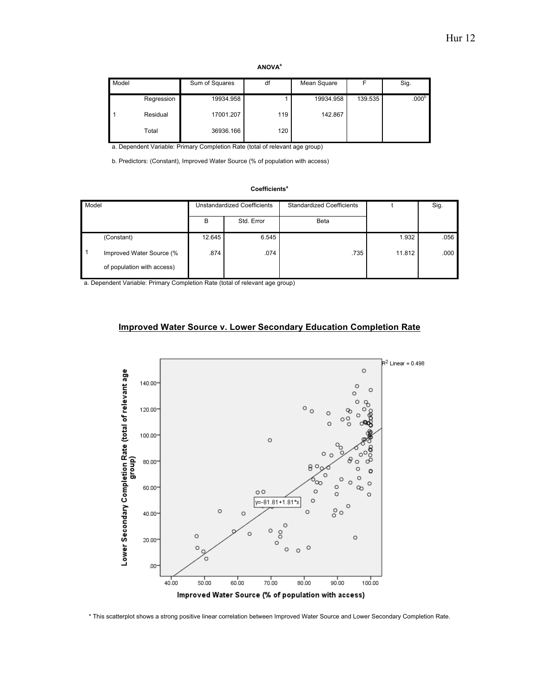#### **ANOVA<sup>a</sup>**

| Model |            | Sum of Squares | df  | Mean Square |         | Sig.              |
|-------|------------|----------------|-----|-------------|---------|-------------------|
|       | Regression | 19934.958      |     | 19934.958   | 139.535 | .000 <sup>b</sup> |
|       | Residual   | 17001.207      | 119 | 142.867     |         |                   |
|       | Total      | 36936.166      | 120 |             |         |                   |

a. Dependent Variable: Primary Completion Rate (total of relevant age group)

b. Predictors: (Constant), Improved Water Source (% of population with access)

### **Coefficients<sup>a</sup>**

| Model |                                                        | <b>Unstandardized Coefficients</b> |            | <b>Standardized Coefficients</b> |        | Sig. |
|-------|--------------------------------------------------------|------------------------------------|------------|----------------------------------|--------|------|
|       |                                                        | B                                  | Std. Error | <b>Beta</b>                      |        |      |
|       | (Constant)                                             | 12.645                             | 6.545      |                                  | 1.932  | .056 |
| ∣ 1   | Improved Water Source (%<br>of population with access) | .874                               | .074       | .735                             | 11.812 | .000 |

a. Dependent Variable: Primary Completion Rate (total of relevant age group)

## **Improved Water Source v. Lower Secondary Education Completion Rate**



\* This scatterplot shows a strong positive linear correlation between Improved Water Source and Lower Secondary Completion Rate.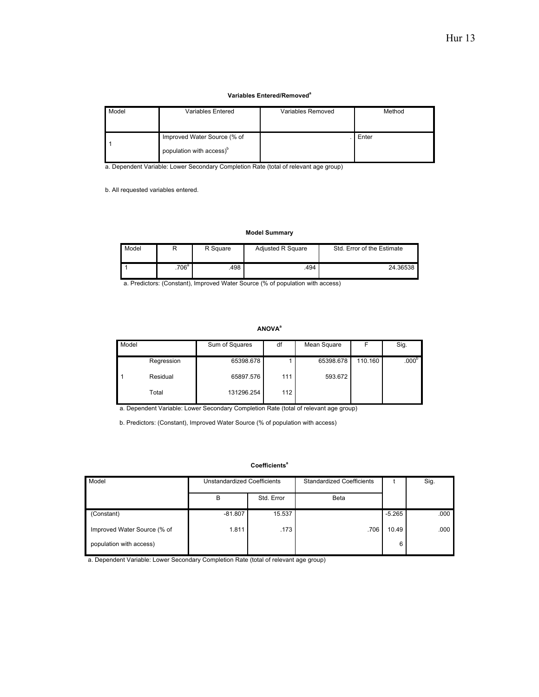#### **Variables Entered/Removed<sup>a</sup>**

| Model | Variables Entered                    | Variables Removed | Method |
|-------|--------------------------------------|-------------------|--------|
|       |                                      |                   |        |
|       |                                      |                   |        |
|       | Improved Water Source (% of          |                   | Enter  |
|       |                                      |                   |        |
|       | population with access) <sup>b</sup> |                   |        |
|       |                                      |                   |        |

a. Dependent Variable: Lower Secondary Completion Rate (total of relevant age group)

b. All requested variables entered.

#### **Model Summary**

| Model |          | R Square | <b>Adiusted R Square</b> | Std. Error of the Estimate |
|-------|----------|----------|--------------------------|----------------------------|
|       | $.706^a$ | 498.     | .494                     | 24.36538                   |

a. Predictors: (Constant), Improved Water Source (% of population with access)

### **ANOVA<sup>a</sup>**

| Model |            | Sum of Squares | df  | Mean Square |         | Sig.              |
|-------|------------|----------------|-----|-------------|---------|-------------------|
|       | Regression | 65398.678      |     | 65398.678   | 110.160 | .000 <sup>b</sup> |
|       | Residual   | 65897.576      | 111 | 593.672     |         |                   |
|       | Total      | 131296.254     | 112 |             |         |                   |

a. Dependent Variable: Lower Secondary Completion Rate (total of relevant age group)

b. Predictors: (Constant), Improved Water Source (% of population with access)

### **Coefficients<sup>a</sup>**

| Model                       | Unstandardized Coefficients |            | <b>Standardized Coefficients</b> |          | Sig. |
|-----------------------------|-----------------------------|------------|----------------------------------|----------|------|
|                             | B                           | Std. Error | <b>Beta</b>                      |          |      |
| (Constant)                  | $-81.807$                   | 15.537     |                                  | $-5.265$ | .000 |
| Improved Water Source (% of | 1.811                       | .173       | .706                             | 10.49    | .000 |
| population with access)     |                             |            |                                  | 6        |      |

a. Dependent Variable: Lower Secondary Completion Rate (total of relevant age group)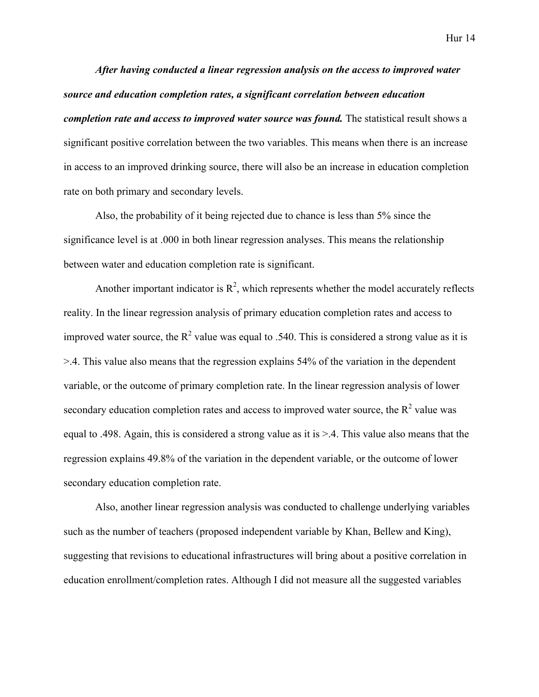*After having conducted a linear regression analysis on the access to improved water source and education completion rates, a significant correlation between education completion rate and access to improved water source was found.* The statistical result shows a significant positive correlation between the two variables. This means when there is an increase in access to an improved drinking source, there will also be an increase in education completion rate on both primary and secondary levels.

Also, the probability of it being rejected due to chance is less than 5% since the significance level is at .000 in both linear regression analyses. This means the relationship between water and education completion rate is significant.

Another important indicator is  $\mathbb{R}^2$ , which represents whether the model accurately reflects reality. In the linear regression analysis of primary education completion rates and access to improved water source, the  $R^2$  value was equal to .540. This is considered a strong value as it is >.4. This value also means that the regression explains 54% of the variation in the dependent variable, or the outcome of primary completion rate. In the linear regression analysis of lower secondary education completion rates and access to improved water source, the  $R<sup>2</sup>$  value was equal to .498. Again, this is considered a strong value as it is >.4. This value also means that the regression explains 49.8% of the variation in the dependent variable, or the outcome of lower secondary education completion rate.

Also, another linear regression analysis was conducted to challenge underlying variables such as the number of teachers (proposed independent variable by Khan, Bellew and King), suggesting that revisions to educational infrastructures will bring about a positive correlation in education enrollment/completion rates. Although I did not measure all the suggested variables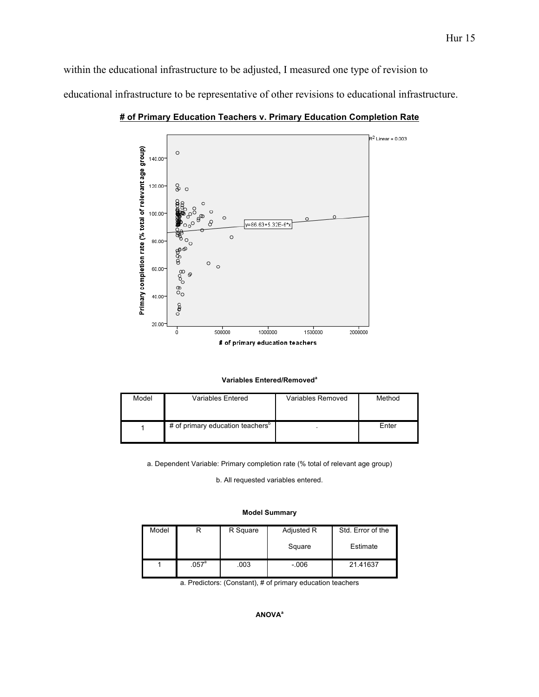within the educational infrastructure to be adjusted, I measured one type of revision to educational infrastructure to be representative of other revisions to educational infrastructure.



**# of Primary Education Teachers v. Primary Education Completion Rate**

| Model | <b>Variables Entered</b>                     | Variables Removed | Method |
|-------|----------------------------------------------|-------------------|--------|
|       | # of primary education teachers <sup>o</sup> |                   | Enter  |

a. Dependent Variable: Primary completion rate (% total of relevant age group)

b. All requested variables entered.

#### **Model Summary**

| Model |                | R Square | Adjusted R | Std. Error of the |
|-------|----------------|----------|------------|-------------------|
|       |                |          | Square     | Estimate          |
|       | $.057^{\circ}$ | .003     | $-0.006$   | 21.41637          |

a. Predictors: (Constant), # of primary education teachers

### **ANOVA<sup>a</sup>**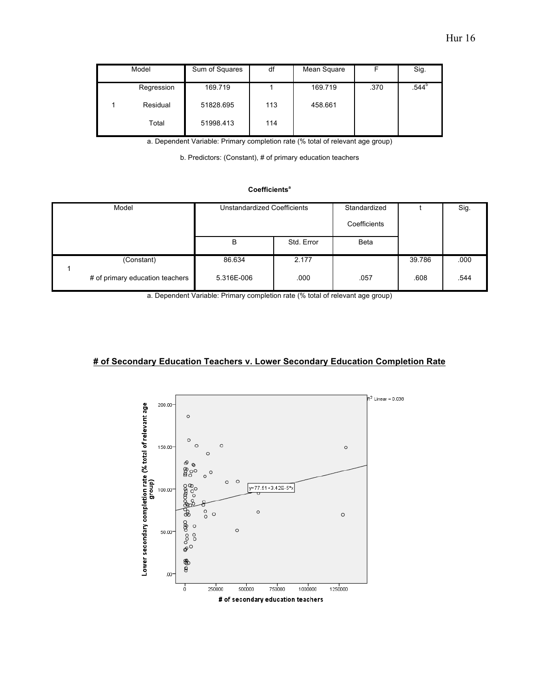| Model      | Sum of Squares | df  | Mean Square |      | Sig.           |
|------------|----------------|-----|-------------|------|----------------|
| Regression | 169.719        |     | 169.719     | .370 | $.544^{\circ}$ |
| Residual   | 51828.695      | 113 | 458.661     |      |                |
| Total      | 51998.413      | 114 |             |      |                |

a. Dependent Variable: Primary completion rate (% total of relevant age group)

b. Predictors: (Constant), # of primary education teachers

### **Coefficients<sup>a</sup>**

| <b>Unstandardized Coefficients</b><br>Model |            |            | Standardized<br>Coefficients |        | Sig. |
|---------------------------------------------|------------|------------|------------------------------|--------|------|
|                                             | в          | Std. Error | <b>Beta</b>                  |        |      |
| (Constant)                                  | 86.634     | 2.177      |                              | 39.786 | .000 |
| # of primary education teachers             | 5.316E-006 | .000       | .057                         | .608   | .544 |

a. Dependent Variable: Primary completion rate (% total of relevant age group)

## **# of Secondary Education Teachers v. Lower Secondary Education Completion Rate**

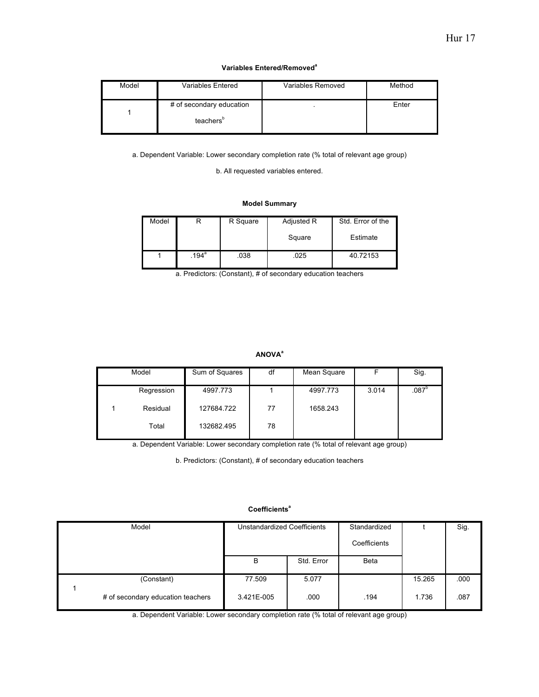#### **Variables Entered/Removed<sup>a</sup>**

| Model | Variables Entered                                 | Variables Removed | Method |
|-------|---------------------------------------------------|-------------------|--------|
|       | # of secondary education<br>teachers <sup>b</sup> |                   | Enter  |

a. Dependent Variable: Lower secondary completion rate (% total of relevant age group)

b. All requested variables entered.

### **Model Summary**

| Model |                     | R Square | Adjusted R | Std. Error of the |  |
|-------|---------------------|----------|------------|-------------------|--|
|       |                     |          | Square     | Estimate          |  |
|       | $.194$ <sup>a</sup> | .038     | .025       | 40.72153          |  |

a. Predictors: (Constant), # of secondary education teachers

### **ANOVA<sup>a</sup>**

| Model |            | Sum of Squares | df | Mean Square |       | Sig.              |
|-------|------------|----------------|----|-------------|-------|-------------------|
|       | Regression | 4997.773       |    | 4997.773    | 3.014 | .087 <sup>b</sup> |
|       | Residual   | 127684.722     | 77 | 1658.243    |       |                   |
|       | Total      | 132682.495     | 78 |             |       |                   |

a. Dependent Variable: Lower secondary completion rate (% total of relevant age group)

b. Predictors: (Constant), # of secondary education teachers

### **Coefficients<sup>a</sup>**

| Model |                                   | <b>Unstandardized Coefficients</b> |            | Standardized |        | Sig. |
|-------|-----------------------------------|------------------------------------|------------|--------------|--------|------|
|       |                                   |                                    |            | Coefficients |        |      |
|       |                                   | B                                  | Std. Error | <b>Beta</b>  |        |      |
|       | (Constant)                        | 77.509                             | 5.077      |              | 15.265 | .000 |
|       | # of secondary education teachers | 3.421E-005                         | .000       | .194         | 1.736  | .087 |

a. Dependent Variable: Lower secondary completion rate (% total of relevant age group)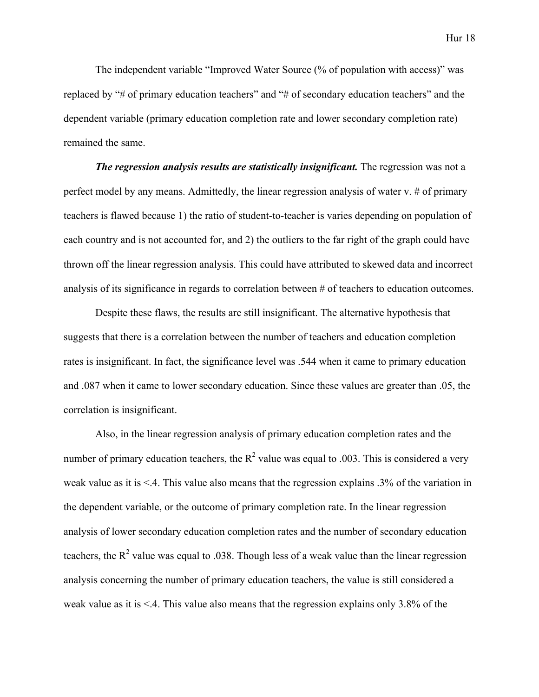Hur 18

The independent variable "Improved Water Source (% of population with access)" was replaced by "# of primary education teachers" and "# of secondary education teachers" and the dependent variable (primary education completion rate and lower secondary completion rate) remained the same.

*The regression analysis results are statistically insignificant.* The regression was not a perfect model by any means. Admittedly, the linear regression analysis of water v. # of primary teachers is flawed because 1) the ratio of student-to-teacher is varies depending on population of each country and is not accounted for, and 2) the outliers to the far right of the graph could have thrown off the linear regression analysis. This could have attributed to skewed data and incorrect analysis of its significance in regards to correlation between # of teachers to education outcomes.

Despite these flaws, the results are still insignificant. The alternative hypothesis that suggests that there is a correlation between the number of teachers and education completion rates is insignificant. In fact, the significance level was .544 when it came to primary education and .087 when it came to lower secondary education. Since these values are greater than .05, the correlation is insignificant.

Also, in the linear regression analysis of primary education completion rates and the number of primary education teachers, the  $R^2$  value was equal to .003. This is considered a very weak value as it is <.4. This value also means that the regression explains .3% of the variation in the dependent variable, or the outcome of primary completion rate. In the linear regression analysis of lower secondary education completion rates and the number of secondary education teachers, the  $R^2$  value was equal to .038. Though less of a weak value than the linear regression analysis concerning the number of primary education teachers, the value is still considered a weak value as it is  $\leq$  4. This value also means that the regression explains only 3.8% of the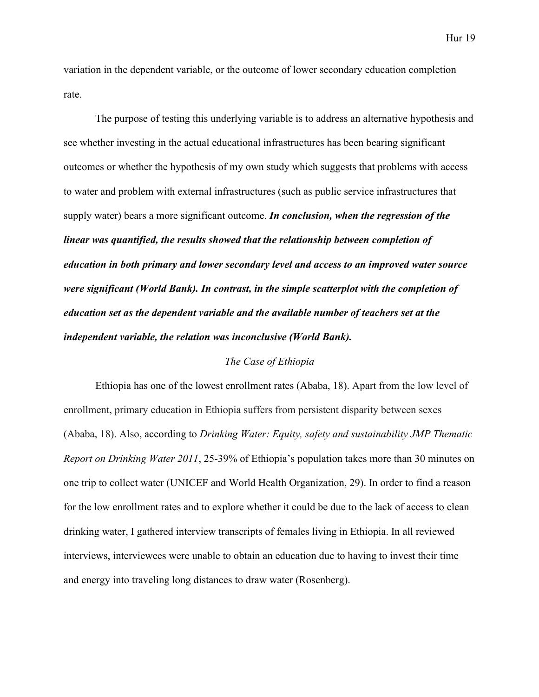variation in the dependent variable, or the outcome of lower secondary education completion rate.

The purpose of testing this underlying variable is to address an alternative hypothesis and see whether investing in the actual educational infrastructures has been bearing significant outcomes or whether the hypothesis of my own study which suggests that problems with access to water and problem with external infrastructures (such as public service infrastructures that supply water) bears a more significant outcome. *In conclusion, when the regression of the linear was quantified, the results showed that the relationship between completion of education in both primary and lower secondary level and access to an improved water source were significant (World Bank). In contrast, in the simple scatterplot with the completion of education set as the dependent variable and the available number of teachers set at the independent variable, the relation was inconclusive (World Bank).*

## *The Case of Ethiopia*

Ethiopia has one of the lowest enrollment rates (Ababa, 18). Apart from the low level of enrollment, primary education in Ethiopia suffers from persistent disparity between sexes (Ababa, 18). Also, according to *Drinking Water: Equity, safety and sustainability JMP Thematic Report on Drinking Water 2011*, 25-39% of Ethiopia's population takes more than 30 minutes on one trip to collect water (UNICEF and World Health Organization, 29). In order to find a reason for the low enrollment rates and to explore whether it could be due to the lack of access to clean drinking water, I gathered interview transcripts of females living in Ethiopia. In all reviewed interviews, interviewees were unable to obtain an education due to having to invest their time and energy into traveling long distances to draw water (Rosenberg).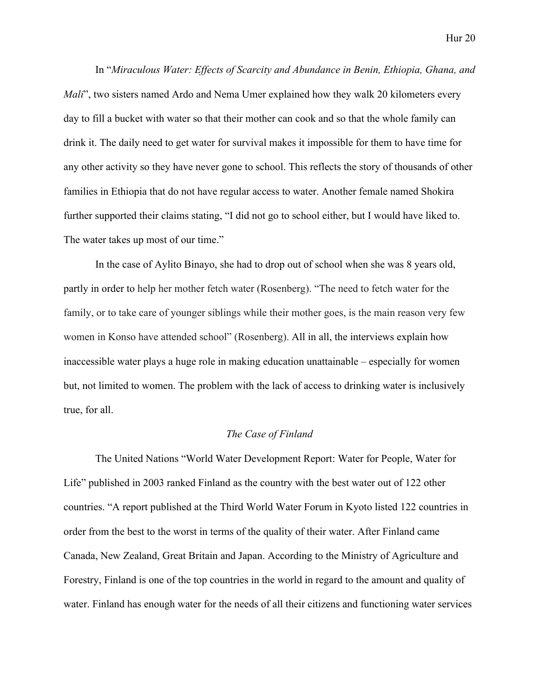In "*Miraculous Water: Effects of Scarcity and Abundance in Benin, Ethiopia, Ghana, and Mali*", two sisters named Ardo and Nema Umer explained how they walk 20 kilometers every day to fill a bucket with water so that their mother can cook and so that the whole family can drink it. The daily need to get water for survival makes it impossible for them to have time for any other activity so they have never gone to school. This reflects the story of thousands of other families in Ethiopia that do not have regular access to water. Another female named Shokira further supported their claims stating, "I did not go to school either, but I would have liked to. The water takes up most of our time."

In the case of Aylito Binayo, she had to drop out of school when she was 8 years old, partly in order to help her mother fetch water (Rosenberg). "The need to fetch water for the family, or to take care of younger siblings while their mother goes, is the main reason very few women in Konso have attended school" (Rosenberg). All in all, the interviews explain how inaccessible water plays a huge role in making education unattainable – especially for women but, not limited to women. The problem with the lack of access to drinking water is inclusively true, for all.

### *The Case of Finland*

The United Nations "World Water Development Report: Water for People, Water for Life" published in 2003 ranked Finland as the country with the best water out of 122 other countries. "A report published at the Third World Water Forum in Kyoto listed 122 countries in order from the best to the worst in terms of the quality of their water. After Finland came Canada, New Zealand, Great Britain and Japan. According to the Ministry of Agriculture and Forestry, Finland is one of the top countries in the world in regard to the amount and quality of water. Finland has enough water for the needs of all their citizens and functioning water services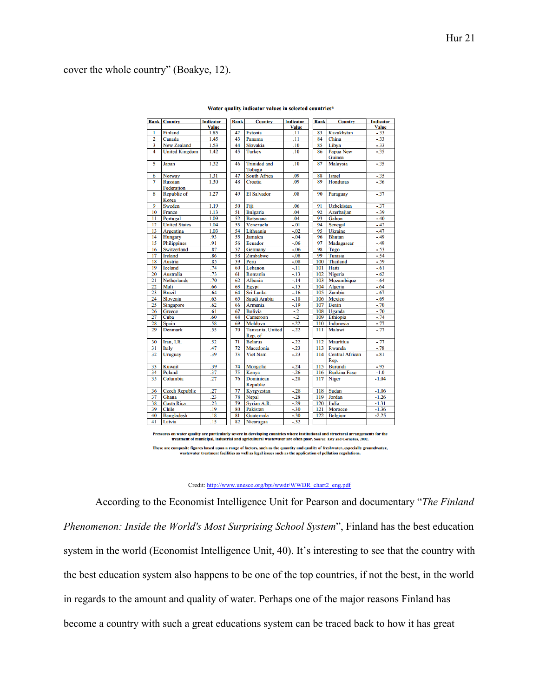# cover the whole country" (Boakye, 12).

|                 | <b>Rank Country</b>          | <b>Indicator</b> | Rank | <b>Country</b>                | <b>Indicator</b> | Rank | <b>Country</b>                 | <b>Indicator</b> |
|-----------------|------------------------------|------------------|------|-------------------------------|------------------|------|--------------------------------|------------------|
|                 |                              | <b>Value</b>     |      |                               | <b>Value</b>     |      |                                | <b>Value</b>     |
| 1               | Finland                      | 1.85             | 42   | Estonia                       | .11              | 83   | <b>Kazakhstan</b>              | $-33$            |
| $\overline{2}$  | Canada                       | 1.45             | 43   | Panama                        | .11              | 84   | China                          | $-33$            |
| 3               | <b>New Zealand</b>           | 1.53             | 44   | Slovakia                      | .10              | 85   | Libya                          | $-33$            |
| $\overline{4}$  | <b>United Kingdom</b>        | 1.42             | 45   | <b>Turkey</b>                 | .10              | 86   | Papua New                      | $-35$            |
|                 |                              |                  |      |                               |                  |      | Guinea                         |                  |
| 5               | Japan                        | 1.32             | 46   | <b>Trinidad</b> and<br>Tobago | .10              | 87   | Malaysia                       | $-35$            |
| 6               | <b>Norway</b>                | 1.31             | 47   | <b>South Africa</b>           | .09              | 88   | <b>Israel</b>                  | $-35$            |
| 7               | <b>Russian</b><br>Federation | 1.30             | 48   | Croatia                       | 09               | 89   | <b>Honduras</b>                | $-36$            |
| 8               | Republic of<br>Korea         | 1.27             | 49   | <b>El Salvador</b>            | .08              | 90   | Paraguay                       | $-37$            |
| 9               | Sweden                       | 1.19             | 50   | Fiji                          | .06              | 91   | <b>Uzbekistan</b>              | $-37$            |
| 10              | France                       | 1.13             | 51   | <b>Bulgaria</b>               | .04              | 92   | Azerbaijan                     | $-39$            |
| 11              | Portugal                     | 1.09             | 52   | <b>Botswana</b>               | .04              | 93   | Gabon                          | $-40$            |
| $\overline{12}$ | <b>United States</b>         | 1.04             | 53   | Venezuela                     | $-01$            | 94   | Senegal                        | $-42$            |
| 13              | Argentina                    | 1.03             | 54   | Lithuania                     | $-0.02$          | 95   | <b>Ukraine</b>                 | $-47$            |
| 14              | Hungary                      | .93              | 55   | Jamaica                       | $-.04$           | 96   | <b>Bhutan</b>                  | $-49$            |
| 15              | <b>Philippines</b>           | 91               | 56   | Ecuador                       | $-0.06$          | 97   | Madagascar                     | $-49$            |
| 16              | Switzerland                  | .87              | 57   | Germany                       | $-0.06$          | 98   | Togo                           | $-53$            |
| 17              | <b>Ireland</b>               | 86               | 58   | Zimbabwe                      | $-0.08$          | 99   | Tunisia                        | $-54$            |
| 18              | Austria                      | .85              | 59   | Peru                          | $-.08$           | 100  | Thailand                       | $-59$            |
| 19              | <b>Iceland</b>               | .74              | 60   | Lebanon                       | $-11$            | 101  | Haiti                          | $-61$            |
| 20              | <b>Australia</b>             | .73              | 61   | Romania                       | $-13$            | 102  | Nigeria                        | $-.62$           |
| 21              | <b>Netherlands</b>           | .70              | 62   | Albania                       | $-.14$           | 103  | Mozambique                     | $-.64$           |
| 22              | Mali                         | .66              | 63   | Egypt                         | $-15$            | 104  | Algeria                        | $-.64$           |
| 23              | <b>Brazil</b>                | .64              | 64   | Sri Lanka                     | $-16$            | 105  | Zambia                         | $-.67$           |
| 24              | Slovenia                     | .63              | 65   | Saudi Arabia                  | $-18$            | 106  | Mexico                         | $-.69$           |
| 25              | Singapore                    | .62              | 66   | Armenia                       | $-19$            | 107  | <b>Benin</b>                   | $-70$            |
| 26              | Greece                       | .61              | 67   | <b>Bolivia</b>                | $-2$             | 108  | Uganda                         | $-70$            |
| 27              | Cuba                         | .60              | 68   | Cameroon                      | $-2$             | 109  | Ethiopia                       | $-74$            |
| 28              | Spain                        | .58              | 69   | Moldova                       | $-22$            | 110  | Indonesia                      | $-77$            |
| 29              | <b>Denmark</b>               | .55              | 70   | Tanzania, United<br>Rep. of   | $-22$            | 111  | Malawi                         | $-77$            |
| 30              | Iran, I.R.                   | .52              | 71   | <b>Belarus</b>                | $-22$            | 112  | <b>Mauritius</b>               | $-77$            |
| 31              | Italy                        | .47              | 72   | Macedonia                     | $-23$            | 113  | Rwanda                         | $-78$            |
| 32              | Uruguay                      | .39              | 73   | <b>Viet Nam</b>               | $-23$            | 114  | <b>Central African</b><br>Rep. | $-81$            |
| 33              | <b>Kuwait</b>                | .39              | 74   | Mongolia                      | $-24$            | 115  | <b>Burundi</b>                 | $-95$            |
| 34              | Poland                       | .37              | 75   | Kenva                         | $-26$            | 116  | <b>Burkina Faso</b>            | $-1.0$           |
| 35              | Columbia                     | .27              | 76   | Dominican<br>Republic         | $-28$            | 117  | Niger                          | $-1.04$          |
| 36              | <b>Czech Republic</b>        | .27              | 77   | Kyrgyzstan                    | $-.28$           | 118  | Sudan                          | $-1.06$          |
| $\overline{37}$ | Ghana                        | .23              | 78   | Nepal                         | $-28$            | 119  | Jordan                         | $-1.26$          |
| 38              | <b>Costa Rica</b>            | $\overline{.23}$ | 79   | Syrian A.R.                   | $-29$            | 120  | India                          | $-1.31$          |
| 39              | Chile                        | .19              | 80   | Pakistan                      | $-30$            | 121  | Morocco                        | $-1.36$          |
| 40              | <b>Bangladesh</b>            | .18              | 81   | Guatemala                     | $-.30$           | 122  | Belgium                        | $-2.25$          |
| 41              | Latvia                       | .15              | 82   | Nicaragua                     | $-32$            |      |                                |                  |

#### Water quality indicator values in selected countries\*

Pressures on water quality are particularly severe in developing countries where institutional and structural arrangements for the treatment of municipal, industrial and agricultural wastewater are often poor. Source: Esty These are composite figures based upon a range of factors, such as the quantity and quality of freshwater, especially groundwater,<br>wastewater treatment facilities as well as legal issues such as the application of pollutio

Credit: http://www.unesco.org/bpi/wwdr/WWDR\_chart2\_eng.pdf

According to the Economist Intelligence Unit for Pearson and documentary "*The Finland Phenomenon: Inside the World's Most Surprising School System*", Finland has the best education system in the world (Economist Intelligence Unit, 40). It's interesting to see that the country with the best education system also happens to be one of the top countries, if not the best, in the world in regards to the amount and quality of water. Perhaps one of the major reasons Finland has become a country with such a great educations system can be traced back to how it has great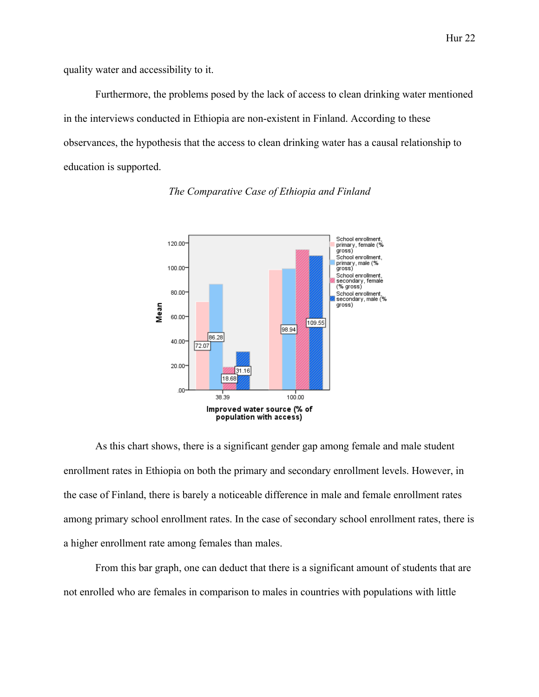quality water and accessibility to it.

Furthermore, the problems posed by the lack of access to clean drinking water mentioned in the interviews conducted in Ethiopia are non-existent in Finland. According to these observances, the hypothesis that the access to clean drinking water has a causal relationship to education is supported.



### *The Comparative Case of Ethiopia and Finland*

As this chart shows, there is a significant gender gap among female and male student enrollment rates in Ethiopia on both the primary and secondary enrollment levels. However, in the case of Finland, there is barely a noticeable difference in male and female enrollment rates among primary school enrollment rates. In the case of secondary school enrollment rates, there is a higher enrollment rate among females than males.

From this bar graph, one can deduct that there is a significant amount of students that are not enrolled who are females in comparison to males in countries with populations with little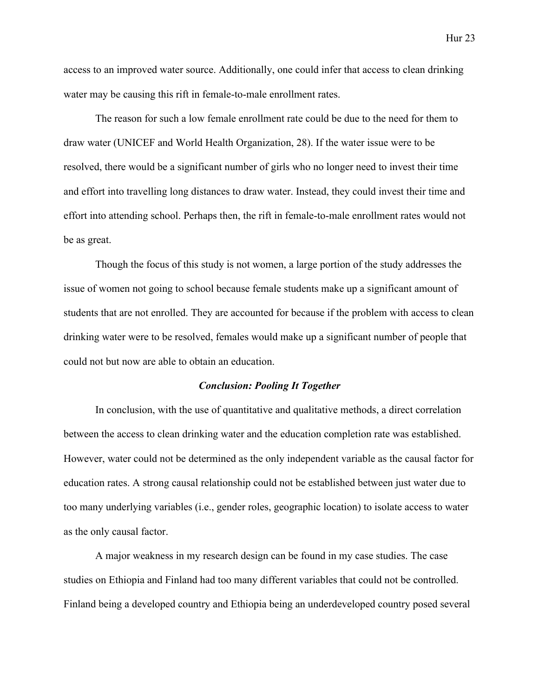access to an improved water source. Additionally, one could infer that access to clean drinking water may be causing this rift in female-to-male enrollment rates.

The reason for such a low female enrollment rate could be due to the need for them to draw water (UNICEF and World Health Organization, 28). If the water issue were to be resolved, there would be a significant number of girls who no longer need to invest their time and effort into travelling long distances to draw water. Instead, they could invest their time and effort into attending school. Perhaps then, the rift in female-to-male enrollment rates would not be as great.

Though the focus of this study is not women, a large portion of the study addresses the issue of women not going to school because female students make up a significant amount of students that are not enrolled. They are accounted for because if the problem with access to clean drinking water were to be resolved, females would make up a significant number of people that could not but now are able to obtain an education.

## *Conclusion: Pooling It Together*

In conclusion, with the use of quantitative and qualitative methods, a direct correlation between the access to clean drinking water and the education completion rate was established. However, water could not be determined as the only independent variable as the causal factor for education rates. A strong causal relationship could not be established between just water due to too many underlying variables (i.e., gender roles, geographic location) to isolate access to water as the only causal factor.

A major weakness in my research design can be found in my case studies. The case studies on Ethiopia and Finland had too many different variables that could not be controlled. Finland being a developed country and Ethiopia being an underdeveloped country posed several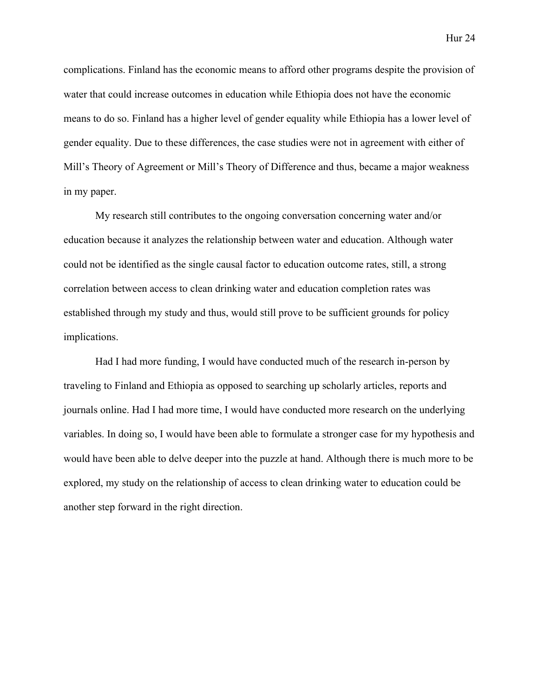complications. Finland has the economic means to afford other programs despite the provision of water that could increase outcomes in education while Ethiopia does not have the economic means to do so. Finland has a higher level of gender equality while Ethiopia has a lower level of gender equality. Due to these differences, the case studies were not in agreement with either of Mill's Theory of Agreement or Mill's Theory of Difference and thus, became a major weakness in my paper.

My research still contributes to the ongoing conversation concerning water and/or education because it analyzes the relationship between water and education. Although water could not be identified as the single causal factor to education outcome rates, still, a strong correlation between access to clean drinking water and education completion rates was established through my study and thus, would still prove to be sufficient grounds for policy implications.

Had I had more funding, I would have conducted much of the research in-person by traveling to Finland and Ethiopia as opposed to searching up scholarly articles, reports and journals online. Had I had more time, I would have conducted more research on the underlying variables. In doing so, I would have been able to formulate a stronger case for my hypothesis and would have been able to delve deeper into the puzzle at hand. Although there is much more to be explored, my study on the relationship of access to clean drinking water to education could be another step forward in the right direction.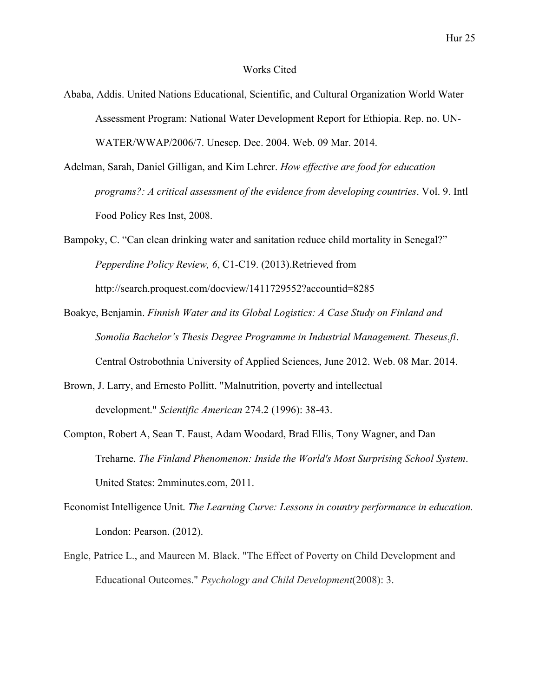## Works Cited

- Ababa, Addis. United Nations Educational, Scientific, and Cultural Organization World Water Assessment Program: National Water Development Report for Ethiopia. Rep. no. UN-WATER/WWAP/2006/7. Unescp. Dec. 2004. Web. 09 Mar. 2014.
- Adelman, Sarah, Daniel Gilligan, and Kim Lehrer. *How effective are food for education programs?: A critical assessment of the evidence from developing countries*. Vol. 9. Intl Food Policy Res Inst, 2008.
- Bampoky, C. "Can clean drinking water and sanitation reduce child mortality in Senegal?" *Pepperdine Policy Review, 6*, C1-C19. (2013).Retrieved from http://search.proquest.com/docview/1411729552?accountid=8285
- Boakye, Benjamin. *Finnish Water and its Global Logistics: A Case Study on Finland and Somolia Bachelor's Thesis Degree Programme in Industrial Management. Theseus.fi*. Central Ostrobothnia University of Applied Sciences, June 2012. Web. 08 Mar. 2014.
- Brown, J. Larry, and Ernesto Pollitt. "Malnutrition, poverty and intellectual development." *Scientific American* 274.2 (1996): 38-43.
- Compton, Robert A, Sean T. Faust, Adam Woodard, Brad Ellis, Tony Wagner, and Dan Treharne. *The Finland Phenomenon: Inside the World's Most Surprising School System*. United States: 2mminutes.com, 2011.
- Economist Intelligence Unit. *The Learning Curve: Lessons in country performance in education.* London: Pearson. (2012).
- Engle, Patrice L., and Maureen M. Black. "The Effect of Poverty on Child Development and Educational Outcomes." *Psychology and Child Development*(2008): 3.